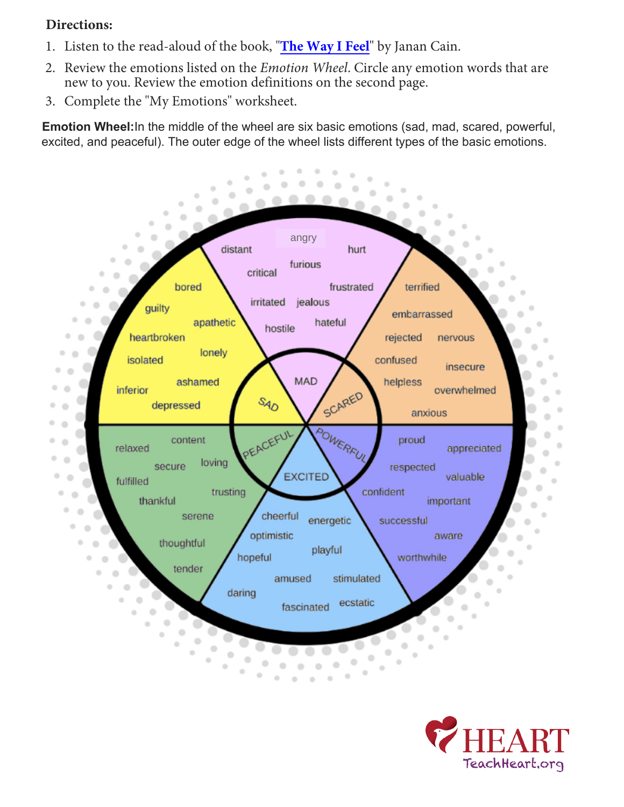### **Directions:**

- 1. Listen to the read-aloud of the book, "**[The Way I Feel](https://www.youtube.com/watch?v=ITPUxVQ6UIk)**" by Janan Cain.
- 2. Review the emotions listed on the *Emotion Wheel*. Circle any emotion words that are new to you. Review the emotion definitions on the second page.
- 3. Complete the "My Emotions" worksheet.

**Emotion Wheel:**In the middle of the wheel are six basic emotions (sad, mad, scared, powerful, excited, and peaceful). The outer edge of the wheel lists different types of the basic emotions.



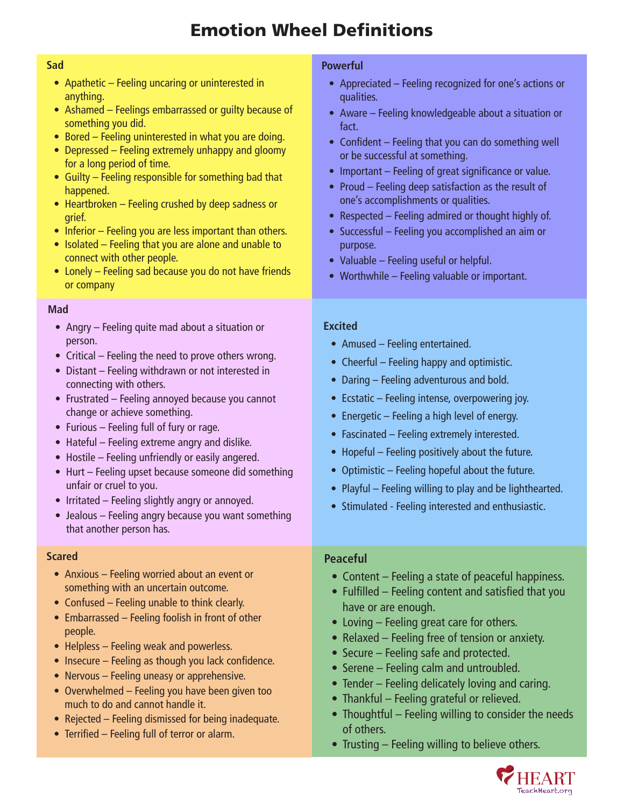# **Emotion Wheel Definitions**

#### **Sad**

- Apathetic Feeling uncaring or uninterested in anything.
- Ashamed Feelings embarrassed or guilty because of something you did.
- Bored Feeling uninterested in what you are doing.
- Depressed Feeling extremely unhappy and gloomy for a long period of time.
- Guilty Feeling responsible for something bad that happened.
- Heartbroken Feeling crushed by deep sadness or grief.
- Inferior Feeling you are less important than others.
- Isolated Feeling that you are alone and unable to connect with other people.
- Lonely Feeling sad because you do not have friends or company

#### **Mad**

- Angry Feeling quite mad about a situation or person.
- Critical Feeling the need to prove others wrong.
- Distant Feeling withdrawn or not interested in connecting with others.
- Frustrated Feeling annoyed because you cannot **Emotion Wheel In the middle of the middle of the middle of the wheel are six basic emotions (sad, mad, mad, scared, powerful, excited, and scared, powerful, excited, and scared, powerful, excited, and scared, and scared, and scared, an**
- $\bullet$  Furious Feeling full of fury or rage.
	- Hateful Feeling extreme angry and dislike.
	- Hostile Feeling unfriendly or easily angered.
	- Hurt Feeling upset because someone did something unfair or cruel to you.
	- Irritated Feeling slightly angry or annoyed.
	- Jealous Feeling angry because you want something that another person has.

#### **Scared**

- Anxious Feeling worried about an event or something with an uncertain outcome.
- Confused Feeling unable to think clearly.
- Embarrassed Feeling foolish in front of other people.
- Helpless Feeling weak and powerless.
- Insecure Feeling as though you lack confidence.
- Nervous Feeling uneasy or apprehensive.
- Overwhelmed Feeling you have been given too much to do and cannot handle it.
- Rejected Feeling dismissed for being inadequate.
- Terrified Feeling full of terror or alarm.

#### **Powerful**

- Appreciated Feeling recognized for one's actions or qualities.
- Aware Feeling knowledgeable about a situation or fact.
- Confident Feeling that you can do something well or be successful at something.
- Important Feeling of great significance or value.
- Proud Feeling deep satisfaction as the result of one's accomplishments or qualities.
- Respected Feeling admired or thought highly of.
- Successful Feeling you accomplished an aim or purpose.
- Valuable Feeling useful or helpful.
- Worthwhile Feeling valuable or important.

#### **Excited**

- Amused Feeling entertained.
- Cheerful Feeling happy and optimistic.
- Daring Feeling adventurous and bold.
- Ecstatic Feeling intense, overpowering joy.
- Energetic Feeling a high level of energy.
- Fascinated Feeling extremely interested.
- $\bullet$  Hopeful Feeling positively about the future.
	- Optimistic Feeling hopeful about the future.
	- Playful Feeling willing to play and be lighthearted.
	- Stimulated Feeling interested and enthusiastic.

#### **Peaceful**

- Content Feeling a state of peaceful happiness.
- Fulfilled Feeling content and satisfied that you have or are enough.
- Loving Feeling great care for others.
- Relaxed Feeling free of tension or anxiety.
- Secure Feeling safe and protected.
- Serene Feeling calm and untroubled.
- Tender Feeling delicately loving and caring.
- Thankful Feeling grateful or relieved.
- Thoughtful Feeling willing to consider the needs of others.
- Trusting Feeling willing to believe others.